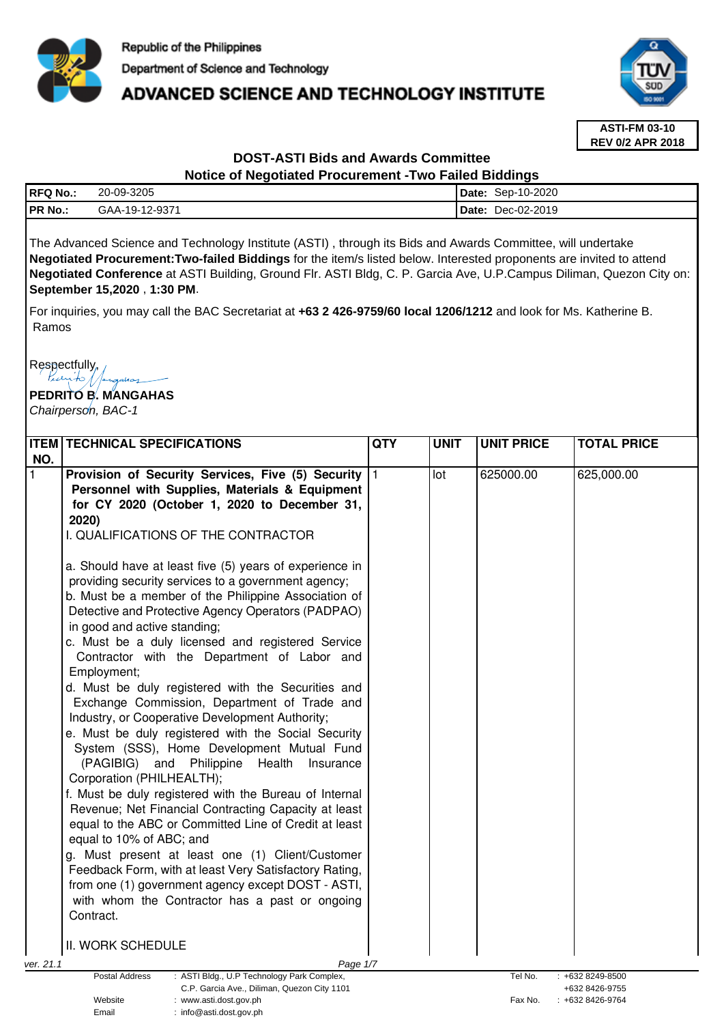

## **ADVANCED SCIENCE AND TECHNOLOGY INSTITUTE**



**ASTI-FM 03-10 REV 0/2 APR 2018**

# **DOST-ASTI Bids and Awards Committee**

## **Notice of Negotiated Procurement -Two Failed Biddings**

| <b>RFQ No.:</b> | 20-09-3205     | Date:       | Sep-10-2020 |
|-----------------|----------------|-------------|-------------|
| PR No.:         | GAA-19-12-9371 | <b>Date</b> | Dec-02-2019 |
|                 |                |             |             |

The Advanced Science and Technology Institute (ASTI) , through its Bids and Awards Committee, will undertake **Negotiated Procurement:Two-failed Biddings** for the item/s listed below. Interested proponents are invited to attend **Negotiated Conference** at ASTI Building, Ground Flr. ASTI Bldg, C. P. Garcia Ave, U.P.Campus Diliman, Quezon City on: **September 15,2020** , **1:30 PM**.

For inquiries, you may call the BAC Secretariat at **+63 2 426-9759/60 local 1206/1212** and look for Ms. Katherine B. Ramos

Respectfully,

**PEDRITO B. MANGAHAS** 

Email : info@asti.dost.gov.ph

Chairperson, BAC-1

|           | <b>ITEM TECHNICAL SPECIFICATIONS</b>                                                                       | QTY | <b>UNIT</b> | <b>UNIT PRICE</b> | <b>TOTAL PRICE</b> |
|-----------|------------------------------------------------------------------------------------------------------------|-----|-------------|-------------------|--------------------|
| NO.       |                                                                                                            |     |             |                   |                    |
| l 1       | Provision of Security Services, Five (5) Security                                                          | 11  | lot         | 625000.00         | 625,000.00         |
|           | Personnel with Supplies, Materials & Equipment                                                             |     |             |                   |                    |
|           | for CY 2020 (October 1, 2020 to December 31,                                                               |     |             |                   |                    |
|           | 2020)                                                                                                      |     |             |                   |                    |
|           | I. QUALIFICATIONS OF THE CONTRACTOR                                                                        |     |             |                   |                    |
|           | a. Should have at least five (5) years of experience in                                                    |     |             |                   |                    |
|           | providing security services to a government agency;                                                        |     |             |                   |                    |
|           | b. Must be a member of the Philippine Association of                                                       |     |             |                   |                    |
|           | Detective and Protective Agency Operators (PADPAO)                                                         |     |             |                   |                    |
|           | in good and active standing;                                                                               |     |             |                   |                    |
|           | c. Must be a duly licensed and registered Service                                                          |     |             |                   |                    |
|           | Contractor with the Department of Labor and                                                                |     |             |                   |                    |
|           | Employment;                                                                                                |     |             |                   |                    |
|           | d. Must be duly registered with the Securities and                                                         |     |             |                   |                    |
|           | Exchange Commission, Department of Trade and                                                               |     |             |                   |                    |
|           | Industry, or Cooperative Development Authority;                                                            |     |             |                   |                    |
|           | e. Must be duly registered with the Social Security                                                        |     |             |                   |                    |
|           | System (SSS), Home Development Mutual Fund                                                                 |     |             |                   |                    |
|           | (PAGIBIG) and Philippine<br>Health<br>Insurance                                                            |     |             |                   |                    |
|           | Corporation (PHILHEALTH);                                                                                  |     |             |                   |                    |
|           | f. Must be duly registered with the Bureau of Internal                                                     |     |             |                   |                    |
|           | Revenue; Net Financial Contracting Capacity at least                                                       |     |             |                   |                    |
|           | equal to the ABC or Committed Line of Credit at least                                                      |     |             |                   |                    |
|           | equal to 10% of ABC; and                                                                                   |     |             |                   |                    |
|           | g. Must present at least one (1) Client/Customer<br>Feedback Form, with at least Very Satisfactory Rating, |     |             |                   |                    |
|           | from one (1) government agency except DOST - ASTI,                                                         |     |             |                   |                    |
|           | with whom the Contractor has a past or ongoing                                                             |     |             |                   |                    |
|           | Contract.                                                                                                  |     |             |                   |                    |
|           |                                                                                                            |     |             |                   |                    |
|           | II. WORK SCHEDULE                                                                                          |     |             |                   |                    |
| ver. 21.1 | Page 1/7                                                                                                   |     |             |                   |                    |
|           | Postal Address<br>: ASTI Bldg., U.P Technology Park Complex,                                               |     |             | Tel No.           | $: +6328249-8500$  |
|           | C.P. Garcia Ave., Diliman, Quezon City 1101                                                                |     |             |                   | +632 8426-9755     |
|           | Website<br>www.asti.dost.gov.ph                                                                            |     |             | Fax No.           | +632 8426-9764     |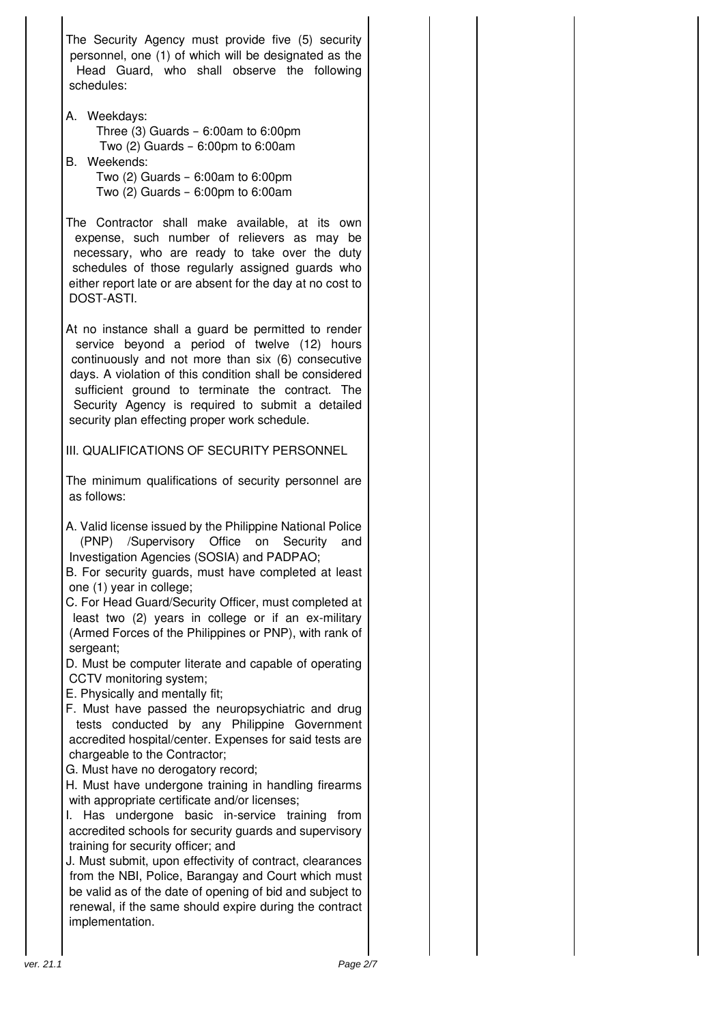The Security Agency must provide five (5) security personnel, one (1) of which will be designated as the Head Guard, who shall observe the following schedules:

A. Weekdays:

 Three (3) Guards – 6:00am to 6:00pm Two  $(2)$  Guards – 6:00pm to 6:00am

B. Weekends:

 Two (2) Guards – 6:00am to 6:00pm Two (2) Guards – 6:00pm to 6:00am

The Contractor shall make available, at its own expense, such number of relievers as may be necessary, who are ready to take over the duty schedules of those regularly assigned guards who either report late or are absent for the day at no cost to DOST-ASTI.

At no instance shall a guard be permitted to render service beyond a period of twelve (12) hours continuously and not more than six (6) consecutive days. A violation of this condition shall be considered sufficient ground to terminate the contract. The Security Agency is required to submit a detailed security plan effecting proper work schedule.

III. QUALIFICATIONS OF SECURITY PERSONNEL

The minimum qualifications of security personnel are as follows:

A. Valid license issued by the Philippine National Police (PNP) /Supervisory Office on Security and Investigation Agencies (SOSIA) and PADPAO;

B. For security guards, must have completed at least one (1) year in college;

C. For Head Guard/Security Officer, must completed at least two (2) years in college or if an ex-military (Armed Forces of the Philippines or PNP), with rank of sergeant:

D. Must be computer literate and capable of operating CCTV monitoring system;

- E. Physically and mentally fit;
- F. Must have passed the neuropsychiatric and drug tests conducted by any Philippine Government accredited hospital/center. Expenses for said tests are chargeable to the Contractor;
- G. Must have no derogatory record;
- H. Must have undergone training in handling firearms with appropriate certificate and/or licenses;
- I. Has undergone basic in-service training from accredited schools for security guards and supervisory training for security officer; and

J. Must submit, upon effectivity of contract, clearances from the NBI, Police, Barangay and Court which must be valid as of the date of opening of bid and subject to renewal, if the same should expire during the contract implementation.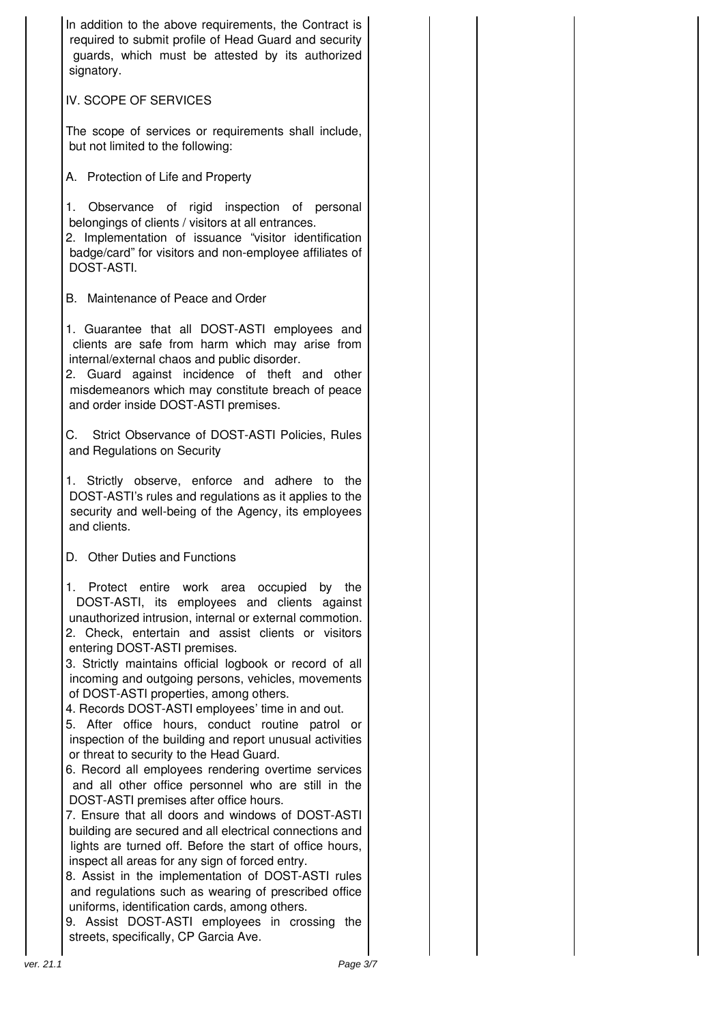| In addition to the above requirements, the Contract is<br>required to submit profile of Head Guard and security<br>guards, which must be attested by its authorized<br>signatory.                                                                                                                                                                                                                                                                                                                                                                                                                                                                                                                                                                                                                                                                                                                                                                                                                                                                                                                                                                                                                                                       |  |
|-----------------------------------------------------------------------------------------------------------------------------------------------------------------------------------------------------------------------------------------------------------------------------------------------------------------------------------------------------------------------------------------------------------------------------------------------------------------------------------------------------------------------------------------------------------------------------------------------------------------------------------------------------------------------------------------------------------------------------------------------------------------------------------------------------------------------------------------------------------------------------------------------------------------------------------------------------------------------------------------------------------------------------------------------------------------------------------------------------------------------------------------------------------------------------------------------------------------------------------------|--|
| IV. SCOPE OF SERVICES                                                                                                                                                                                                                                                                                                                                                                                                                                                                                                                                                                                                                                                                                                                                                                                                                                                                                                                                                                                                                                                                                                                                                                                                                   |  |
| The scope of services or requirements shall include,<br>but not limited to the following:                                                                                                                                                                                                                                                                                                                                                                                                                                                                                                                                                                                                                                                                                                                                                                                                                                                                                                                                                                                                                                                                                                                                               |  |
| A. Protection of Life and Property                                                                                                                                                                                                                                                                                                                                                                                                                                                                                                                                                                                                                                                                                                                                                                                                                                                                                                                                                                                                                                                                                                                                                                                                      |  |
| Observance of rigid inspection of personal<br>1.<br>belongings of clients / visitors at all entrances.<br>2. Implementation of issuance "visitor identification<br>badge/card" for visitors and non-employee affiliates of<br>DOST-ASTI.                                                                                                                                                                                                                                                                                                                                                                                                                                                                                                                                                                                                                                                                                                                                                                                                                                                                                                                                                                                                |  |
| B. Maintenance of Peace and Order                                                                                                                                                                                                                                                                                                                                                                                                                                                                                                                                                                                                                                                                                                                                                                                                                                                                                                                                                                                                                                                                                                                                                                                                       |  |
| 1. Guarantee that all DOST-ASTI employees and<br>clients are safe from harm which may arise from<br>internal/external chaos and public disorder.<br>2. Guard against incidence of theft and other<br>misdemeanors which may constitute breach of peace<br>and order inside DOST-ASTI premises.                                                                                                                                                                                                                                                                                                                                                                                                                                                                                                                                                                                                                                                                                                                                                                                                                                                                                                                                          |  |
| C.<br>Strict Observance of DOST-ASTI Policies, Rules<br>and Regulations on Security                                                                                                                                                                                                                                                                                                                                                                                                                                                                                                                                                                                                                                                                                                                                                                                                                                                                                                                                                                                                                                                                                                                                                     |  |
| 1. Strictly observe, enforce and adhere to the<br>DOST-ASTI's rules and regulations as it applies to the<br>security and well-being of the Agency, its employees<br>and clients.                                                                                                                                                                                                                                                                                                                                                                                                                                                                                                                                                                                                                                                                                                                                                                                                                                                                                                                                                                                                                                                        |  |
| D. Other Duties and Functions                                                                                                                                                                                                                                                                                                                                                                                                                                                                                                                                                                                                                                                                                                                                                                                                                                                                                                                                                                                                                                                                                                                                                                                                           |  |
| Protect entire work area occupied<br>1.<br>by the<br>DOST-ASTI, its employees and clients<br>against<br>unauthorized intrusion, internal or external commotion.<br>2. Check, entertain and assist clients or visitors<br>entering DOST-ASTI premises.<br>3. Strictly maintains official logbook or record of all<br>incoming and outgoing persons, vehicles, movements<br>of DOST-ASTI properties, among others.<br>4. Records DOST-ASTI employees' time in and out.<br>5. After office hours, conduct routine patrol or<br>inspection of the building and report unusual activities<br>or threat to security to the Head Guard.<br>6. Record all employees rendering overtime services<br>and all other office personnel who are still in the<br>DOST-ASTI premises after office hours.<br>7. Ensure that all doors and windows of DOST-ASTI<br>building are secured and all electrical connections and<br>lights are turned off. Before the start of office hours,<br>inspect all areas for any sign of forced entry.<br>8. Assist in the implementation of DOST-ASTI rules<br>and regulations such as wearing of prescribed office<br>uniforms, identification cards, among others.<br>9. Assist DOST-ASTI employees in crossing the |  |
| streets, specifically, CP Garcia Ave.                                                                                                                                                                                                                                                                                                                                                                                                                                                                                                                                                                                                                                                                                                                                                                                                                                                                                                                                                                                                                                                                                                                                                                                                   |  |
| Page 3/7                                                                                                                                                                                                                                                                                                                                                                                                                                                                                                                                                                                                                                                                                                                                                                                                                                                                                                                                                                                                                                                                                                                                                                                                                                |  |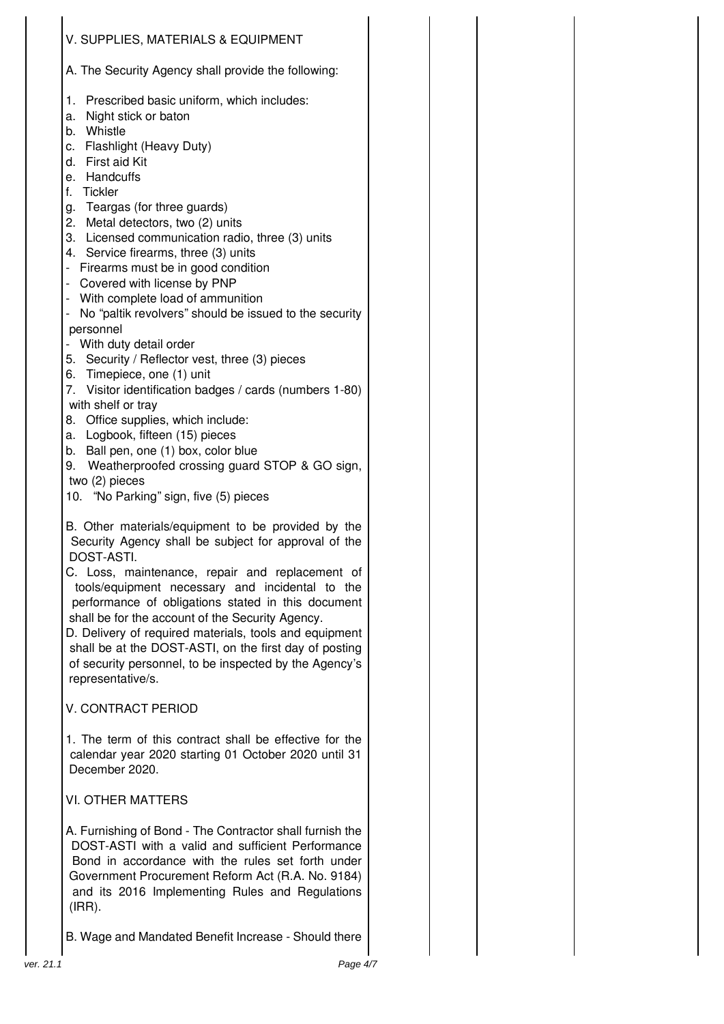| V. SUPPLIES, MATERIALS & EQUIPMENT                                                                                                                                                                                                                                                                                                                                                                              |  |
|-----------------------------------------------------------------------------------------------------------------------------------------------------------------------------------------------------------------------------------------------------------------------------------------------------------------------------------------------------------------------------------------------------------------|--|
| A. The Security Agency shall provide the following:                                                                                                                                                                                                                                                                                                                                                             |  |
| Prescribed basic uniform, which includes:<br>1.<br>Night stick or baton<br>a.<br>Whistle<br>b.<br>c. Flashlight (Heavy Duty)<br>d. First aid Kit<br>e. Handcuffs                                                                                                                                                                                                                                                |  |
| f.<br>Tickler<br>g. Teargas (for three guards)                                                                                                                                                                                                                                                                                                                                                                  |  |
| 2. Metal detectors, two (2) units<br>3. Licensed communication radio, three (3) units<br>4. Service firearms, three (3) units<br>Firearms must be in good condition<br>- 1<br>Covered with license by PNP<br>$\overline{\phantom{0}}$<br>- With complete load of ammunition                                                                                                                                     |  |
| No "paltik revolvers" should be issued to the security<br>personnel                                                                                                                                                                                                                                                                                                                                             |  |
| With duty detail order<br>5. Security / Reflector vest, three (3) pieces                                                                                                                                                                                                                                                                                                                                        |  |
| Timepiece, one (1) unit<br>6.<br>Visitor identification badges / cards (numbers 1-80)<br>7.<br>with shelf or tray<br>Office supplies, which include:<br>8.<br>Logbook, fifteen (15) pieces<br>а.                                                                                                                                                                                                                |  |
| Ball pen, one (1) box, color blue<br>b.<br>Weatherproofed crossing guard STOP & GO sign,<br>9.<br>two (2) pieces<br>10. "No Parking" sign, five (5) pieces                                                                                                                                                                                                                                                      |  |
| B. Other materials/equipment to be provided by the<br>Security Agency shall be subject for approval of the<br>DOST-ASTI.                                                                                                                                                                                                                                                                                        |  |
| C. Loss, maintenance, repair and replacement of<br>tools/equipment necessary and incidental to the<br>performance of obligations stated in this document<br>shall be for the account of the Security Agency.<br>D. Delivery of required materials, tools and equipment<br>shall be at the DOST-ASTI, on the first day of posting<br>of security personnel, to be inspected by the Agency's<br>representative/s. |  |
| V. CONTRACT PERIOD                                                                                                                                                                                                                                                                                                                                                                                              |  |
| 1. The term of this contract shall be effective for the<br>calendar year 2020 starting 01 October 2020 until 31<br>December 2020.                                                                                                                                                                                                                                                                               |  |
| <b>VI. OTHER MATTERS</b>                                                                                                                                                                                                                                                                                                                                                                                        |  |
| A. Furnishing of Bond - The Contractor shall furnish the<br>DOST-ASTI with a valid and sufficient Performance<br>Bond in accordance with the rules set forth under<br>Government Procurement Reform Act (R.A. No. 9184)<br>and its 2016 Implementing Rules and Regulations<br>$(IRR)$ .                                                                                                                         |  |

B. Wage and Mandated Benefit Increase - Should there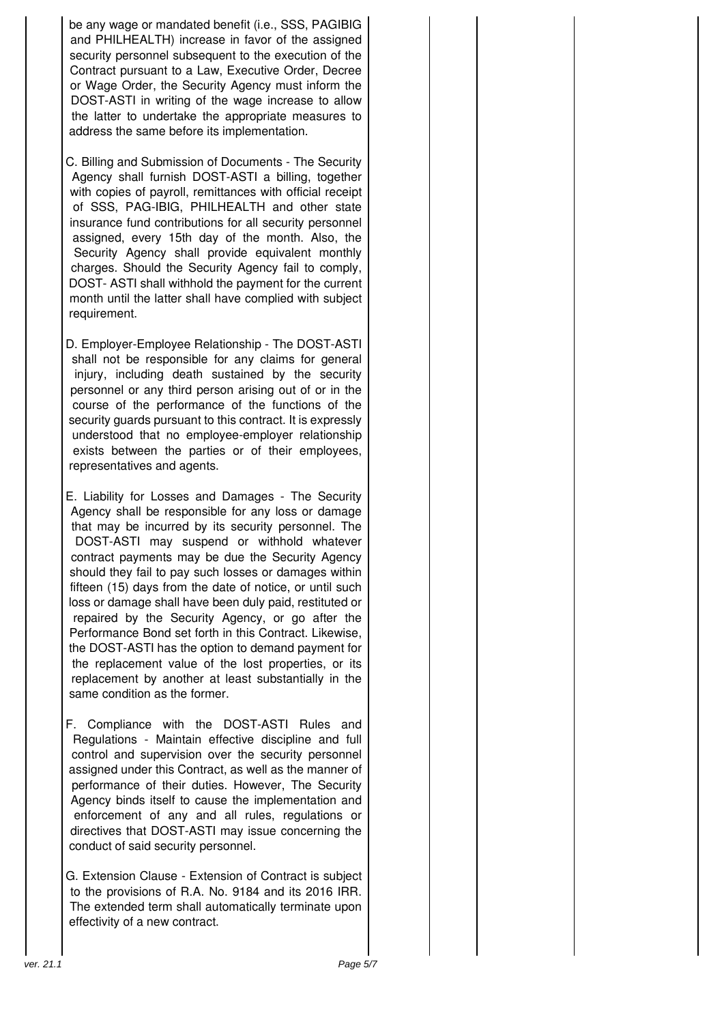be any wage or mandated benefit (i.e., SSS, PAGIBIG and PHILHEALTH) increase in favor of the assigned security personnel subsequent to the execution of the Contract pursuant to a Law, Executive Order, Decree or Wage Order, the Security Agency must inform the DOST-ASTI in writing of the wage increase to allow the latter to undertake the appropriate measures to address the same before its implementation.

C. Billing and Submission of Documents - The Security Agency shall furnish DOST-ASTI a billing, together with copies of payroll, remittances with official receipt of SSS, PAG-IBIG, PHILHEALTH and other state insurance fund contributions for all security personnel assigned, every 15th day of the month. Also, the Security Agency shall provide equivalent monthly charges. Should the Security Agency fail to comply, DOST- ASTI shall withhold the payment for the current month until the latter shall have complied with subject requirement.

D. Employer-Employee Relationship - The DOST-ASTI shall not be responsible for any claims for general injury, including death sustained by the security personnel or any third person arising out of or in the course of the performance of the functions of the security quards pursuant to this contract. It is expressly understood that no employee-employer relationship exists between the parties or of their employees, representatives and agents.

E. Liability for Losses and Damages - The Security Agency shall be responsible for any loss or damage that may be incurred by its security personnel. The DOST-ASTI may suspend or withhold whatever contract payments may be due the Security Agency should they fail to pay such losses or damages within fifteen (15) days from the date of notice, or until such loss or damage shall have been duly paid, restituted or repaired by the Security Agency, or go after the Performance Bond set forth in this Contract. Likewise, the DOST-ASTI has the option to demand payment for the replacement value of the lost properties, or its replacement by another at least substantially in the same condition as the former.

F. Compliance with the DOST-ASTI Rules and Regulations - Maintain effective discipline and full control and supervision over the security personnel assigned under this Contract, as well as the manner of performance of their duties. However, The Security Agency binds itself to cause the implementation and enforcement of any and all rules, regulations or directives that DOST-ASTI may issue concerning the conduct of said security personnel.

G. Extension Clause - Extension of Contract is subject to the provisions of R.A. No. 9184 and its 2016 IRR. The extended term shall automatically terminate upon effectivity of a new contract.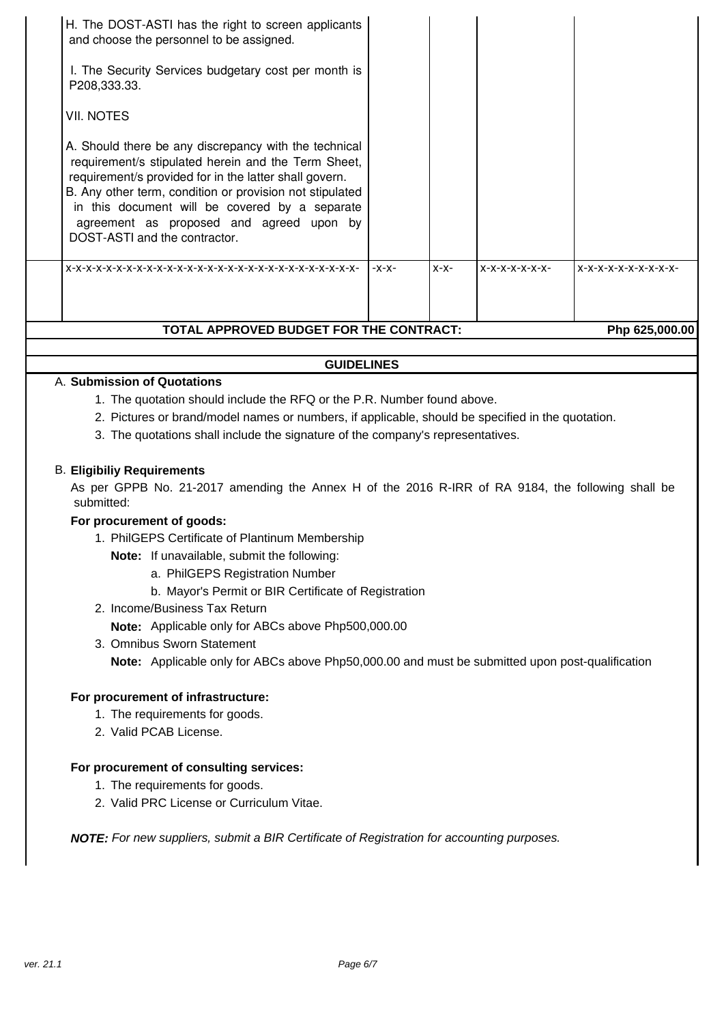| H. The DOST-ASTI has the right to screen applicants<br>and choose the personnel to be assigned.<br>I. The Security Services budgetary cost per month is<br>P208,333.33.<br><b>VII. NOTES</b><br>A. Should there be any discrepancy with the technical<br>requirement/s stipulated herein and the Term Sheet,<br>requirement/s provided for in the latter shall govern.<br>B. Any other term, condition or provision not stipulated<br>in this document will be covered by a separate<br>agreement as proposed and agreed upon by<br>DOST-ASTI and the contractor.<br>$X-X-$<br>$X-X-X-X-X-X-$<br>$-X-X-$<br>X-X-X-X-X-X-X-X-X-X- | TOTAL APPROVED BUDGET FOR THE CONTRACT:<br>Php 625,000.00 |  |  |  |  |  |
|----------------------------------------------------------------------------------------------------------------------------------------------------------------------------------------------------------------------------------------------------------------------------------------------------------------------------------------------------------------------------------------------------------------------------------------------------------------------------------------------------------------------------------------------------------------------------------------------------------------------------------|-----------------------------------------------------------|--|--|--|--|--|
|                                                                                                                                                                                                                                                                                                                                                                                                                                                                                                                                                                                                                                  |                                                           |  |  |  |  |  |
|                                                                                                                                                                                                                                                                                                                                                                                                                                                                                                                                                                                                                                  |                                                           |  |  |  |  |  |

#### **GUIDELINES**

## A. **Submission of Quotations**

- 1. The quotation should include the RFQ or the P.R. Number found above.
- 2. Pictures or brand/model names or numbers, if applicable, should be specified in the quotation.
- 3. The quotations shall include the signature of the company's representatives.

#### B. **Eligibiliy Requirements**

As per GPPB No. 21-2017 amending the Annex H of the 2016 R-IRR of RA 9184, the following shall be submitted:

#### **For procurement of goods:**

1. PhilGEPS Certificate of Plantinum Membership

**Note:** If unavailable, submit the following:

- a. PhilGEPS Registration Number
- b. Mayor's Permit or BIR Certificate of Registration
- 2. Income/Business Tax Return

**Note:** Applicable only for ABCs above Php500,000.00

3. Omnibus Sworn Statement **Note:** Applicable only for ABCs above Php50,000.00 and must be submitted upon post-qualification

#### **For procurement of infrastructure:**

- 1. The requirements for goods.
- 2. Valid PCAB License.

#### **For procurement of consulting services:**

- 1. The requirements for goods.
- 2. Valid PRC License or Curriculum Vitae.

**NOTE:** For new suppliers, submit a BIR Certificate of Registration for accounting purposes.